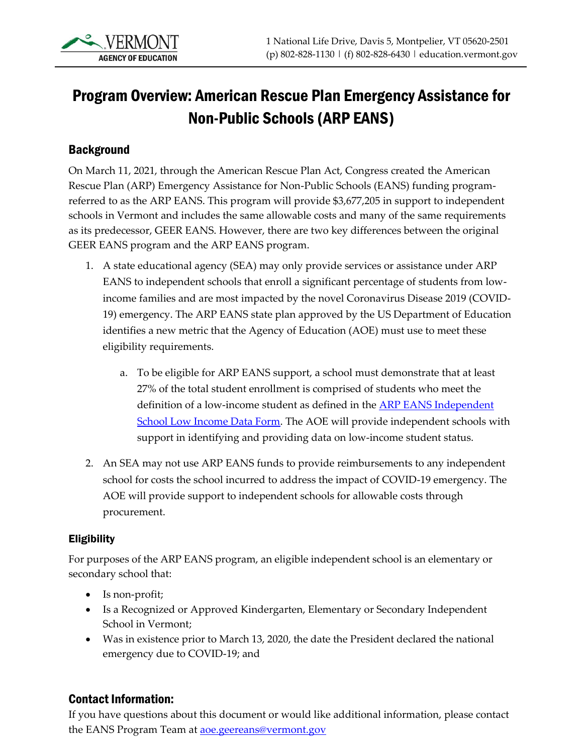# Program Overview: American Rescue Plan Emergency Assistance for Non-Public Schools (ARP EANS)

### **Background**

On March 11, 2021, through the American Rescue Plan Act, Congress created the American Rescue Plan (ARP) Emergency Assistance for Non-Public Schools (EANS) funding programreferred to as the ARP EANS. This program will provide \$3,677,205 in support to independent schools in Vermont and includes the same allowable costs and many of the same requirements as its predecessor, GEER EANS. However, there are two key differences between the original GEER EANS program and the ARP EANS program.

- 1. A state educational agency (SEA) may only provide services or assistance under ARP EANS to independent schools that enroll a significant percentage of students from lowincome families and are most impacted by the novel Coronavirus Disease 2019 (COVID-19) emergency. The ARP EANS state plan approved by the US Department of Education identifies a new metric that the Agency of Education (AOE) must use to meet these eligibility requirements.
	- a. To be eligible for ARP EANS support, a school must demonstrate that at least 27% of the total student enrollment is comprised of students who meet the definition of a low-income student as defined in the [ARP EANS Independent](https://education.vermont.gov/documents/arp-eans-independent-school-low-income-data-form)  [School Low Income Data Form.](https://education.vermont.gov/documents/arp-eans-independent-school-low-income-data-form) The AOE will provide independent schools with support in identifying and providing data on low-income student status.
- 2. An SEA may not use ARP EANS funds to provide reimbursements to any independent school for costs the school incurred to address the impact of COVID-19 emergency. The AOE will provide support to independent schools for allowable costs through procurement.

#### **Eligibility**

For purposes of the ARP EANS program, an eligible independent school is an elementary or secondary school that:

- Is non-profit;
- Is a Recognized or Approved Kindergarten, Elementary or Secondary Independent School in Vermont;
- Was in existence prior to March 13, 2020, the date the President declared the national emergency due to COVID-19; and

### Contact Information:

If you have questions about this document or would like additional information, please contact the EANS Program Team at **aoe.geereans@vermont.gov**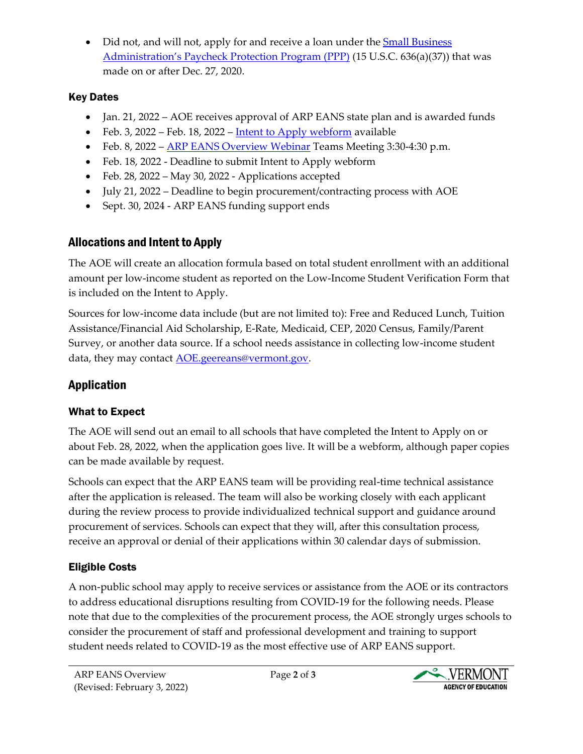• Did not, and will not, apply for and receive a loan under the Small [Business](https://www.sba.gov/funding-programs/loans/coronavirus-relief-options/paycheck-protection-program#%3A~%3Atext%3DAn%20SBA-backed%20loan%20that%20helps%20businesses%20keep%20their%2Cmay%20be%20eligible%20for%20PPP%20loan%20forgiveness.%201) [Administration's Paycheck Protection Program \(PPP\)](https://www.sba.gov/funding-programs/loans/coronavirus-relief-options/paycheck-protection-program#%3A~%3Atext%3DAn%20SBA-backed%20loan%20that%20helps%20businesses%20keep%20their%2Cmay%20be%20eligible%20for%20PPP%20loan%20forgiveness.%201) (15 U.S.C. 636(a)(37)) that was made on or after Dec. 27, 2020.

### Key Dates

- Jan. 21, 2022 AOE receives approval of ARP EANS state plan and is awarded funds
- Feb. 3, 2022 Feb. 18, 2022 [Intent to Apply webform](https://www.cognitoforms.com/VermontAgencyOfEducation/arpeansamericanrescueplanemergencyassistancetononpublicschoolsintenttoapply) available
- Feb. 8, 2022 [ARP EANS Overview Webinar](https://teams.microsoft.com/l/meetup-join/19%3ameeting_M2Q3YmM5NjctOWYxYi00ZTVjLWEwYWYtZTQyMjY5OTNiZTQz%40thread.v2/0?context=%7b%22Tid%22%3a%2220b4933b-baad-433c-9c02-70edcc7559c6%22%2c%22Oid%22%3a%2260ac3af9-08a7-48e8-99c0-03bb3421da08%22%7d) Teams Meeting 3:30-4:30 p.m.
- Feb. 18, 2022 Deadline to submit Intent to Apply webform
- Feb. 28, 2022 May 30, 2022 Applications accepted
- July 21, 2022 Deadline to begin procurement/contracting process with AOE
- Sept. 30, 2024 ARP EANS funding support ends

## Allocations and Intent to Apply

The AOE will create an allocation formula based on total student enrollment with an additional amount per low-income student as reported on the Low-Income Student Verification Form that is included on the Intent to Apply.

Sources for low-income data include (but are not limited to): Free and Reduced Lunch, Tuition Assistance/Financial Aid Scholarship, E-Rate, Medicaid, CEP, 2020 Census, Family/Parent Survey, or another data source. If a school needs assistance in collecting low-income student data, they may contact [AOE.geereans@vermont.gov.](mailto:AOE.geereans@vermont.gov)

## Application

## What to Expect

The AOE will send out an email to all schools that have completed the Intent to Apply on or about Feb. 28, 2022, when the application goes live. It will be a webform, although paper copies can be made available by request.

Schools can expect that the ARP EANS team will be providing real-time technical assistance after the application is released. The team will also be working closely with each applicant during the review process to provide individualized technical support and guidance around procurement of services. Schools can expect that they will, after this consultation process, receive an approval or denial of their applications within 30 calendar days of submission.

## Eligible Costs

A non-public school may apply to receive services or assistance from the AOE or its contractors to address educational disruptions resulting from COVID-19 for the following needs. Please note that due to the complexities of the procurement process, the AOE strongly urges schools to consider the procurement of staff and professional development and training to support student needs related to COVID-19 as the most effective use of ARP EANS support.